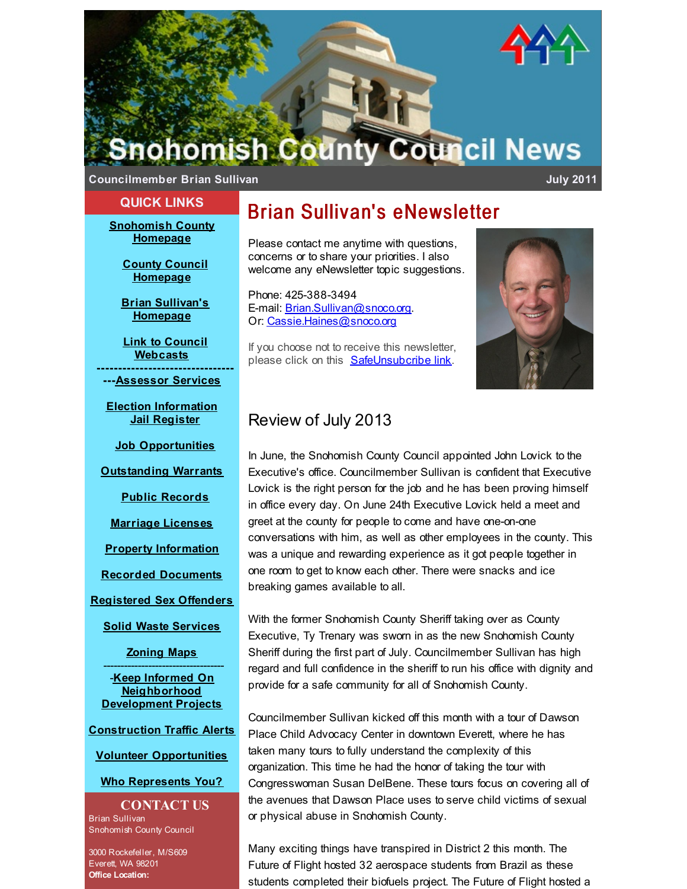

**Councilmember Brian Sullivan July 2011**

### **QUICK LINKS**

**[Snohomish](http://r20.rs6.net/tn.jsp?f=001oKhoDdREchj6QVG0Frlje3G_dPPcBeDOYq_PGeZkQS4NfLEsAEcWH-28xH5BxyF9B_XSBMrP-En4kNuCnGRKoT_jnw3AHQTTCATGqk-FSiawXEhn5hvdqYKzX1AX6c9sG06Beo1bY-cp-J04se7LvcwGTU5FgBGT75ORslzE9CPWnZfF4xQP4A==&c=&ch=) County Homepage**

> **County Council [Homepage](http://r20.rs6.net/tn.jsp?f=001oKhoDdREchj6QVG0Frlje3G_dPPcBeDOYq_PGeZkQS4NfLEsAEcWH-28xH5BxyF98U5IN4FmSOVquF0vQOyuQp_8o7hRCWL3iv_167rEQiEoG0ELfhzFL9PJG-5wjQt4TfqSakQ0JLC6K-iFP1MpdGDBk5PkDCtzgWu_YWp5n2ZiaWc72mZplCHvt-UA15qNKFgpqU5Cf1vx8Y4TMyCiYg==&c=&ch=)**

> **Brian Sullivan's [Homepage](http://r20.rs6.net/tn.jsp?f=001oKhoDdREchj6QVG0Frlje3G_dPPcBeDOYq_PGeZkQS4NfLEsAEcWH08Psz0AnJP0Qu__aDU5ftBQjqR0xoW8HgpTxsRN3HAIqIsqelw2o8_yA7THn1qS0x3tZlVgOMpilTzRMuIH5PvV7xGamnKx_gQLkSRzlORprCLJHh8xmdNFMy0V7fke8VhMD8eVTGaRiB7WhGpzO14LMLVE6wC8k_XD07HDHh5llWdwXSnoqqAbCB8tyMVtTMSBADc6EMROhmFLHjMx_wE=&c=&ch=)**

**Link to Council [Webcasts](http://r20.rs6.net/tn.jsp?f=001oKhoDdREchj6QVG0Frlje3G_dPPcBeDOYq_PGeZkQS4NfLEsAEcWH-28xH5BxyF9dVbjNg0YBfU3NPMuKJpVXOSU-GrwTp0Ua_PqqtaTSv6SrnPSRVgezqwTkkO8g5ICX8cX2BpVkPir3qbteioPVbTcJXrOvEeQcockcZu9koFCSSt4BW8rDpRaeBaz6HBenK3euc0stlZJTkq5pzIg9gMH3gzHVcQC&c=&ch=) --------------------------------**

**---[Assessor](http://r20.rs6.net/tn.jsp?f=001oKhoDdREchj6QVG0Frlje3G_dPPcBeDOYq_PGeZkQS4NfLEsAEcWH08Psz0AnJP0pzud4dfEVII1CY1JG8MQn5LhsQcJBckcLkmTNSh3bz3C2ggQjomwKRSgCzf7HZKKA_OqG0HsXxF6ijAm32B4-OnBVfdBN486wuwjS8xNANNjdTbwLJSrvQ==&c=&ch=) Services**

**Election [Information](http://r20.rs6.net/tn.jsp?f=001oKhoDdREchj6QVG0Frlje3G_dPPcBeDOYq_PGeZkQS4NfLEsAEcWH-28xH5BxyF9AY3eWkS0piC44EOXXEE_brp8eK_R-xiZ7MgvXnR5jYTYKs9R33ybP2E3kHi97FzpnUXbG0r3Q5wcDC3hWg7m4ARTn4-Oo1SLNIXJYclipHjCdYUna4WDEDupghtzY6-Ri7_fdWlM6RKB1x6jujneMa2bnu-gef6cZRoWmMITBznbwilmm4NPJxxkfcYJewoZ&c=&ch=) Jail [Register](http://r20.rs6.net/tn.jsp?f=001oKhoDdREchj6QVG0Frlje3G_dPPcBeDOYq_PGeZkQS4NfLEsAEcWH-28xH5BxyF9CPLqFgdR0VceQqQ-p7n5MO1F9p3WRsRveQGHyk0SC9X1DEbJLcFbL7hWEyLSJ3TZ-GN5PIZV60kuCJzfJpAt_6q5LqaMG6DhwnybHzN2mjsw9H06w-XEBxujGUOeMf_7_qnsTfEdyLTcv2JKT-TiOYjOhai79Ftqi8xnWEUsAI2JZ692KhMBn4NMkxEeYRCT&c=&ch=)**

**Job [Opportunities](http://r20.rs6.net/tn.jsp?f=001oKhoDdREchj6QVG0Frlje3G_dPPcBeDOYq_PGeZkQS4NfLEsAEcWH-28xH5BxyF9D2QqJOSkvoOAbD9aB-Oj13e3Y6HKqllrwy4TEQg0hJsxHHHIk3emX_uXlwcMOn0RbDNiMQfKKQuFVArE4S-3XnSmDlnwN_Pr2lfF4-DiLPArH5Eeo8OIynX5nfgSk1Jiv9EeleDx5nqlCC24AwGRDy5RMVrtYA0eecrGc2tWiQlE47t4OZ9HSXkjKueLVNIO&c=&ch=)**

**[Outstanding](http://r20.rs6.net/tn.jsp?f=001oKhoDdREchj6QVG0Frlje3G_dPPcBeDOYq_PGeZkQS4NfLEsAEcWH-28xH5BxyF9t6-NfJNd7xMidrlaNe782-YobV9smnENyhm9vMSe1A3eKl94j1PUKr4alX8vojTzqum94s-TAcgV1Xon22eZfdqiydtRWyMpeaKqAlKhIRIxphD5-_9s88B00giRW6OUeg8-XigTY0pX1AW_X119ICxh-AyjVHD7wRGuEFB4qDw=&c=&ch=) Warrants**

**Public [Records](http://r20.rs6.net/tn.jsp?f=001oKhoDdREchj6QVG0Frlje3G_dPPcBeDOYq_PGeZkQS4NfLEsAEcWH-28xH5BxyF9V7yoSGjgfrit56RI-DyjZlNxV-rYtmNF-HC9Z1td5cI2IiMKOMTDVrZDpm0NRgY6O8yqs-L7KB0SdhBdLJUmPRuc4WG28HMVLZqVOnIYMkDFG6sz9L9VTP4WNs2vmQ7uSYchAPZ-hA80m7fWY_Lg3JcwGcrjjSp2KfR-Xl13MNo=&c=&ch=)**

**[Marriage](http://r20.rs6.net/tn.jsp?f=001oKhoDdREchj6QVG0Frlje3G_dPPcBeDOYq_PGeZkQS4NfLEsAEcWH-28xH5BxyF9fkReeQLqVc45-vqnoPFw4Segx6NW65ndfX1ERQj5gJweKthM8B6qsy1OpwkI2RX5BAT8VEslTqaEsVPmrSBLPzFnpAodz8xJ67dkgEboIcxIniPq5QnJAv30uteg1ptAlaKoVipvU37sY7jVR3DvsWfYL-UOJ81xqushSDYSaTDjDcWuWqO9CCpT2D7TyBAB6s5pBbu86UE=&c=&ch=) Licenses**

**Property [Information](http://r20.rs6.net/tn.jsp?f=001oKhoDdREchj6QVG0Frlje3G_dPPcBeDOYq_PGeZkQS4NfLEsAEcWH-28xH5BxyF9Dp4yj809T9WWZgCr8TtCc6dAww9r-9o7T-xB1WCwxjn2M3vUTl9ujqaRC85D3bdRidfyUJ69CwGym2_qhg1G1yvb0uVYLCFRbtsdCS1cbxHuMaXCSkpRhNY_qILfdMBFa5ifkeUn8w6j6qBJql7yEdvHag7dGdOiEELRZ2PHrMiVQZFqJVN3pg==&c=&ch=)**

**Recorded [Documents](http://r20.rs6.net/tn.jsp?f=001oKhoDdREchj6QVG0Frlje3G_dPPcBeDOYq_PGeZkQS4NfLEsAEcWH-28xH5BxyF9j7bmt45zxs3EJk2s_IpeI5JW7yet8Rm851iANQKhKAn7abzL23nILIQdqh-2IY2mwXlzgbhXKO2CgdsdNK8zJUNhhHPR6gsRPyl6QegRKS3W0OCQvA_pC14AGUdlQsjgAe5nadr0FMcWvWCAzBarlYVmc6XMmFP8D1ra_vg-lQeAUWRZBbZVBA==&c=&ch=)**

**[Registered](http://r20.rs6.net/tn.jsp?f=001oKhoDdREchj6QVG0Frlje3G_dPPcBeDOYq_PGeZkQS4NfLEsAEcWH08Psz0AnJP0320QKymIKBcVnsJKnE6T0xF4ClnLzcC30Iw4gbAE0YZj4KpPuSC-hQ2xP_sG1pPh1es-96dqLjEFyJWGrBAQWuqJiKWBIff9ZXajRq-2na3hinNOvl1EkNZphlBru1kloZ5mFfrW0mn1m_m5JS1w_YJFWqUIaSmv&c=&ch=) Sex Offenders**

**Solid Waste [Services](http://r20.rs6.net/tn.jsp?f=001oKhoDdREchj6QVG0Frlje3G_dPPcBeDOYq_PGeZkQS4NfLEsAEcWH-28xH5BxyF9_q18C85jxHZb0Z9hiYp_7QaBcYw0JF_EwmPQpUDZoiOYBHEXo0PHlUlfbX-vFLmeq7VD9jbtwPpnsa4yCGdOZkL7krexZPwP3SfxnxV-orpyRh0LM0pfu6THLsaTeapZuR6179wAujonshkFx_BKLwFIsmJieCLDJczo9gkdWDnK2VXh1B526uLzqebidPcJyaymh51MdkM=&c=&ch=)**

**[Zoning](http://r20.rs6.net/tn.jsp?f=001oKhoDdREchj6QVG0Frlje3G_dPPcBeDOYq_PGeZkQS4NfLEsAEcWH08Psz0AnJP0vR_fA3qRNndsvTqAIgXP31AJNAoxcFKW_RsIFH7dujwm94Y6SxCZorCeRy02wIblGN4C6d9rfaaHFeyymLixJxbJqdo5VjnjTUaFMrXolDzcZvzX9SO6kgfym9Icgl6hjoRncvcLKQs=&c=&ch=) Maps** -----------------------------------

-**Keep Informed On [Neighborhood](http://r20.rs6.net/tn.jsp?f=001oKhoDdREchj6QVG0Frlje3G_dPPcBeDOYq_PGeZkQS4NfLEsAEcWH-28xH5BxyF91O-Zuh_HGA-uyRdWqqifCm-GwNA7OuwqTjCacjg5zxXXqXNwt25Cs_t8SbF6Mdb6cEYEMhb2z5uOM6vm5TOum5tlH50gFr0PvqQ4ZBgsiRCawr3d-P0XQoCs2ua4aVCr1MEL6N8HXv_i6u3bSzRomJ7GojJzGTaHaMRAPfPRHwhafCSWKs1wPDkCpXgRQxjYbkL-xZ22Qoo=&c=&ch=) Development Projects**

**[Construction](http://r20.rs6.net/tn.jsp?f=001oKhoDdREchj6QVG0Frlje3G_dPPcBeDOYq_PGeZkQS4NfLEsAEcWH-28xH5BxyF9ZAqb-dIMM4PEB7hoP9StkoQYEtOpKP0KE8AbmyAwAvWTKhSq_nfWFRGFDatc57uOI6yRxRBFjt0TM7pZuyfmRQrkH2zjbLEyRpuAq_Vgt4XtK_l6n0vADFMOAnPgLAJoimpVIZkvDIPXFfj5NqKQYFKGvbvANroz00JwzkAdb9CIBVUHbCPzgQ==&c=&ch=) Traffic Alerts**

**Volunteer [Opportunities](http://r20.rs6.net/tn.jsp?f=001oKhoDdREchj6QVG0Frlje3G_dPPcBeDOYq_PGeZkQS4NfLEsAEcWH-28xH5BxyF9tpBINcdZX3ieZjnHZDtqE5dovTl3se72keiDmhVTsNiX82ETwoHqIfkp3H52R4UCY3wuc9rxVLPnCAGRGEaKd9I8MB7ji3WYYmDmPzkgKUH660lsWR99ZEwKzZKxeNO-sRDE-kw_q7LrZrMHy1D7P2k5_EU91JrO&c=&ch=)**

### **Who [Represents](http://r20.rs6.net/tn.jsp?f=001oKhoDdREchj6QVG0Frlje3G_dPPcBeDOYq_PGeZkQS4NfLEsAEcWH-28xH5BxyF9XeaFIg4YXTdWofn26ye70XOn5mz5M1LPmDmOv_bf6Ypy4vkFIOzVD64Rd8Vb4Q8xU1G9_3QugHpF2YhD6X0fXnXFbT1AHXjxNv9LXM5jstpJhMkxrc3O3OzHUWG57hqs-sxaeoSrMstohY51bv67gVAjrxPH41KUma1fXLNw7V43q79sxDad8tvSffwNSO8-&c=&ch=) You?**

**CONTACT US** Brian Sullivan Snohomish County Council

3000 Rockefeller, M/S609 Everett, WA 98201 **Office Location:**

# Brian Sullivan's eNewsletter

Please contact me anytime with questions, concerns or to share your priorities. I also welcome any eNewsletter topic suggestions.

Phone: 425-388-3494 E-mail: [Brian.Sullivan@snoco.org](mailto:Brian.Sullivan@snoco.org). Or: [Cassie.Haines@snoco.org](mailto:Cassie.Haines@snoco.org)

If you choose not to receive this newsletter, please click on this **[SafeUnsubcribe](http://visitor.constantcontact.com/optout.jsp?v=001FFspMhSEL8vvIiSDV7hYr-C8RFZCTkp0euXK5J-HjSy_DnPXEjMC14RbZE6s09wbrwttN2dgtXxSsEJu371GadQH75jfrv12pHKi_tx3n8UQy-A2Vb7Mt8izAK9QS0A_) link**.



## Review of July 2013

In June, the Snohomish County Council appointed John Lovick to the Executive's office. Councilmember Sullivan is confident that Executive Lovick is the right person for the job and he has been proving himself in office every day. On June 24th Executive Lovick held a meet and greet at the county for people to come and have one-on-one conversations with him, as well as other employees in the county. This was a unique and rewarding experience as it got people together in one room to get to know each other. There were snacks and ice breaking games available to all.

With the former Snohomish County Sheriff taking over as County Executive, Ty Trenary was sworn in as the new Snohomish County Sheriff during the first part of July. Councilmember Sullivan has high regard and full confidence in the sheriff to run his office with dignity and provide for a safe community for all of Snohomish County.

Councilmember Sullivan kicked off this month with a tour of Dawson Place Child Advocacy Center in downtown Everett, where he has taken many tours to fully understand the complexity of this organization. This time he had the honor of taking the tour with Congresswoman Susan DelBene. These tours focus on covering all of the avenues that Dawson Place uses to serve child victims of sexual or physical abuse in Snohomish County.

Many exciting things have transpired in District 2 this month. The Future of Flight hosted 32 aerospace students from Brazil as these students completed their biofuels project. The Future of Flight hosted a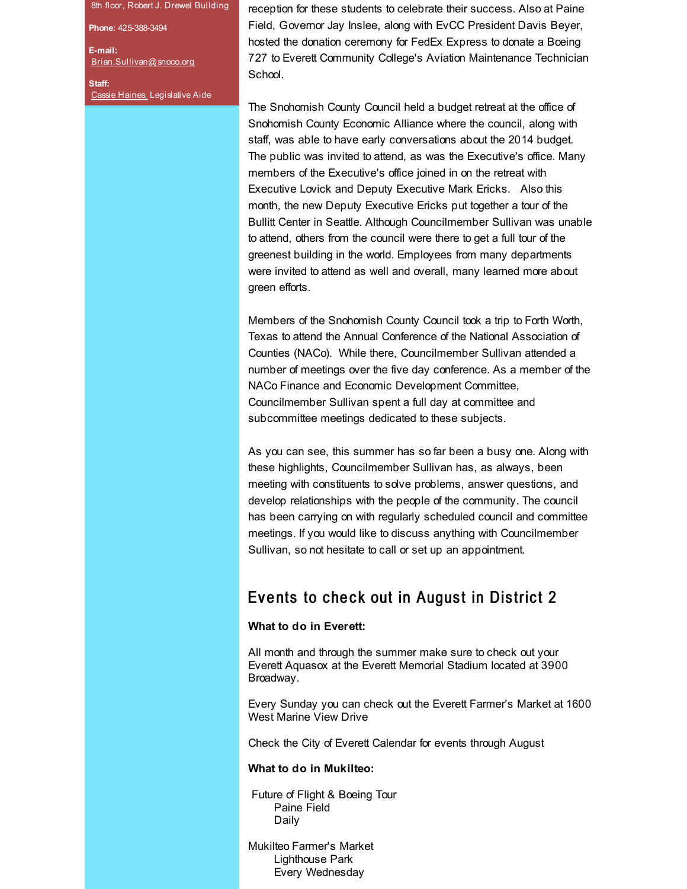8th floor, Robert J. Drewel Building

**Phone:** 425-388-3494

**E-mail:** [Brian.Sullivan@snoco.org](mailto:brian.sullivan@snoco.org)

**Staff:** Cassie [Haines,](mailto:cassie.haines@snoco.org) Legislative Aide reception for these students to celebrate their success. Also at Paine Field, Governor Jay Inslee, along with EvCC President Davis Beyer, hosted the donation ceremony for FedEx Express to donate a Boeing 727 to Everett Community College's Aviation Maintenance Technician School.

The Snohomish County Council held a budget retreat at the office of Snohomish County Economic Alliance where the council, along with staff, was able to have early conversations about the 2014 budget. The public was invited to attend, as was the Executive's office. Many members of the Executive's office joined in on the retreat with Executive Lovick and Deputy Executive Mark Ericks. Also this month, the new Deputy Executive Ericks put together a tour of the Bullitt Center in Seattle. Although Councilmember Sullivan was unable to attend, others from the council were there to get a full tour of the greenest building in the world. Employees from many departments were invited to attend as well and overall, many learned more about green efforts.

Members of the Snohomish County Council took a trip to Forth Worth, Texas to attend the Annual Conference of the National Association of Counties (NACo). While there, Councilmember Sullivan attended a number of meetings over the five day conference. As a member of the NACo Finance and Economic Development Committee, Councilmember Sullivan spent a full day at committee and subcommittee meetings dedicated to these subjects.

As you can see, this summer has so far been a busy one. Along with these highlights, Councilmember Sullivan has, as always, been meeting with constituents to solve problems, answer questions, and develop relationships with the people of the community. The council has been carrying on with regularly scheduled council and committee meetings. If you would like to discuss anything with Councilmember Sullivan, so not hesitate to call or set up an appointment.

### Events to check out in August in District 2

### **What to do in Everett:**

All month and through the summer make sure to check out your Everett Aquasox at the Everett Memorial Stadium located at 3900 Broadway.

Every Sunday you can check out the Everett Farmer's Market at 1600 West Marine View Drive

Check the City of Everett Calendar for events through August

#### **What to do in Mukilteo:**

Future of Flight & Boeing Tour Paine Field Daily

Mukilteo Farmer's Market Lighthouse Park Every Wednesday